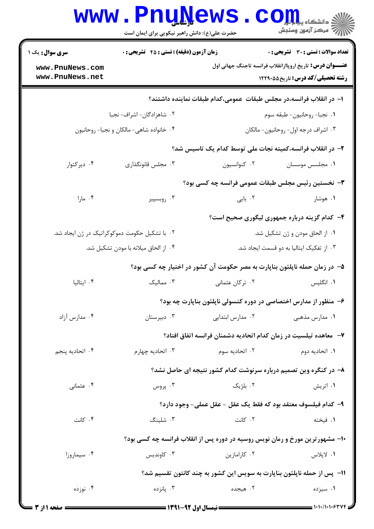|                                               | <b>WWW.PNUWEWS</b><br>حضرت علی(ع): دانش راهبر نیکویی برای ایمان است                |                                                                              | COJJL<br>رآ - مرڪز آزمون وسنڊش                                                                              |  |  |
|-----------------------------------------------|------------------------------------------------------------------------------------|------------------------------------------------------------------------------|-------------------------------------------------------------------------------------------------------------|--|--|
| <b>سری سوال :</b> یک ۱                        | زمان آزمون (دقیقه) : تستی : 45 تشریحی : 0<br>تعداد سوالات : تستي : 30 ٪ تشريحي : 0 |                                                                              |                                                                                                             |  |  |
| www.PnuNews.com<br>www.PnuNews.net            |                                                                                    |                                                                              | <b>عنــــوان درس:</b> تاریخ اروپاازانقلاب فرانسه تاجنگ جهانی اول<br><b>رشته تحصیلی/کد درس:</b> تاریخ۵۵×۱۲۲۹ |  |  |
|                                               |                                                                                    | ا– در انقلاب فرانسه،در مجلس طبقات عمومی،کدام طبقات نماینده داشتند؟           |                                                                                                             |  |  |
| ۰۲ شاهزادگان- اشراف- نجبا                     |                                                                                    | ٠١ نجبا- روحانيون- طبقه سوم                                                  |                                                                                                             |  |  |
| ۰۴ خانواده شاهی- مالکان و نجبا- روحانیون      |                                                                                    | ٠٣ اشراف درجه اول- روحانيون- مالكان                                          |                                                                                                             |  |  |
|                                               |                                                                                    | ۲– در انقلاب فرانسه،کمیته نجات ملی توسط کدام یک تاسیس شد؟                    |                                                                                                             |  |  |
| ۰۴ دیر کتوار                                  | ۰۳ مجلس قانونگذاری                                                                 | ۰۲ کنوانسیون                                                                 | ٠١. مجلسس موسسان                                                                                            |  |  |
|                                               |                                                                                    | ۳- نخستین رئیس مجلس طبقات عمومی فرانسه چه کسی بود؟                           |                                                                                                             |  |  |
| ۰۴ مارا                                       | ۰۳ روبسپیر                                                                         | ۰۲ بایی                                                                      | ۰۱ هوشار                                                                                                    |  |  |
|                                               |                                                                                    |                                                                              | ۴- کدام گزینه درباره جمهوری لیگوری صحیح است؟                                                                |  |  |
| ۰۲ با تشکیل حکومت دموکوکراتیک در ژن ایجاد شد. |                                                                                    | ٠١ از الحاق مودن و ژن تشكيل شد.                                              |                                                                                                             |  |  |
| ۰۴ از الحاق میلانه با مودن تشکیل شد.          |                                                                                    | ۰۳ از تفکیک ایتالیا به دو قسمت ایجاد شد.                                     |                                                                                                             |  |  |
|                                               |                                                                                    | ۵– در زمان حمله ناپلئون بناپارت به مصر حکومت آن کشور در اختیار چه کسی بود؟   |                                                                                                             |  |  |
| ۰۴ ایتالیا                                    | ۰۳ ممالیک                                                                          | ۰۲ ترکان عثمانی                                                              | ۰۱ انگلیس                                                                                                   |  |  |
|                                               |                                                                                    | ۶– منظور از مدارس اختصاصی در دوره کنسولی ناپلئون بناپارت چه بود؟             |                                                                                                             |  |  |
| ۰۴ مدارس آزاد                                 | ۰۳ دبیرستان                                                                        | ۰۲ مدارس ابتدایی                                                             | ۰۱ مدارس مذهبی                                                                                              |  |  |
|                                               |                                                                                    | ۷– معاهده تیلسیت در زمان کدام اتحادیه دشمنان فرانسه اتفاق افتاد؟             |                                                                                                             |  |  |
| ۰۴ اتحادیه پنجم                               | ۰۳ اتحادیه چهار م                                                                  | ۰۲ اتحادیه سوم                                                               | ۰۱ اتحادیه دوم                                                                                              |  |  |
|                                               |                                                                                    | ۸- در کنگره وین تصمیم درباره سرنوشت کدام کشور نتیجه ای حاصل نشد؟             |                                                                                                             |  |  |
| ۰۴ عثمانی                                     | ۰۳ پروس                                                                            | ۰۲ بلژیک                                                                     | ۰۱ اتریش                                                                                                    |  |  |
|                                               |                                                                                    | ٩- كدام فيلسوف معتقد بود كه فقط يك عقل - عقل عملي- وجود دارد؟                |                                                                                                             |  |  |
| ۰۴ کانت                                       | ۰۳ شلینگ                                                                           | ۰۲ کانت                                                                      | ۰۱ فیخته                                                                                                    |  |  |
|                                               |                                                                                    | ۱۰- مشهورترین مورخ و رمان نویس روسیه در دوره پس از انقلاب فرانسه چه کسی بود؟ |                                                                                                             |  |  |
| ۰۴ سیماروزا                                   | ۰۳ کاوندیس                                                                         | ۰۲ کارامازین                                                                 | ١. لاپلاس                                                                                                   |  |  |
|                                               |                                                                                    | 1۱- پس از حمله ناپلئون بناپارت به سویس این کشور به چند کانتون تقسیم شد؟      |                                                                                                             |  |  |
| ۰۴ نوزده                                      | ۰۳ يانزده                                                                          | ۰۲ هیجده                                                                     | ۰۱ سیزده                                                                                                    |  |  |
|                                               |                                                                                    |                                                                              |                                                                                                             |  |  |

= 1+1+/1+1+۶۳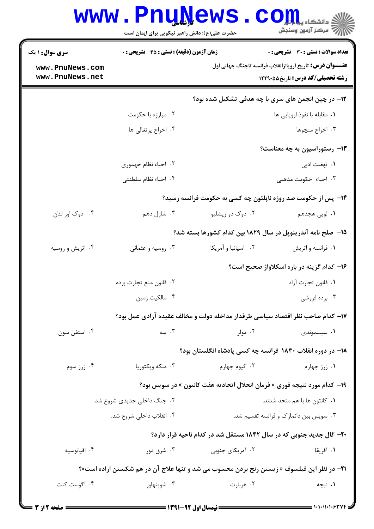| <b>سری سوال : ۱ یک</b>   | <b>زمان آزمون (دقیقه) : تستی : 45 گشریحی : 0</b><br><b>تعداد سوالات : تستی : 30 ٪ تشریحی : 0</b> |                                                                                           |                                                                 |
|--------------------------|--------------------------------------------------------------------------------------------------|-------------------------------------------------------------------------------------------|-----------------------------------------------------------------|
| www.PnuNews.com          |                                                                                                  |                                                                                           | <b>عنـــوان درس:</b> تاریخ اروپاازانقلاب فرانسه تاجنگ جهانی اول |
| www.PnuNews.net          |                                                                                                  |                                                                                           | <b>رشته تحصیلی/کد درس:</b> تاریخ۵۵×۱۲۲۹                         |
|                          |                                                                                                  | <b>۱۲</b> - در چین انجمن های سری با چه هدفی تشکیل شده بود؟                                |                                                                 |
|                          | ۰۲ مبارزه با حکومت                                                                               |                                                                                           | ۰۱ مقابله با نفوذ اروپایی ها                                    |
|                          | ۰۴ اخراج پرتغالی ها                                                                              |                                                                                           | ۰۳ اخراج منچوها                                                 |
|                          |                                                                                                  |                                                                                           | ۱۳- رستوراسیون به چه معناست؟                                    |
|                          | ۰۲ احیاء نظام جهموری                                                                             |                                                                                           | <b>۱.</b> نهضت ادبی                                             |
|                          | ۰۴ احیا، نظام سلطنتی                                                                             |                                                                                           | ۰۳ احیاء حکومت مذهبی                                            |
|                          |                                                                                                  | ۱۴- پس از حکومت صد روزه ناپلئون چه کسی به حکومت فرانسه رسید؟                              |                                                                 |
| ۰۴ دوک اور لئان          | ۰۳ شارل دهم                                                                                      | ۰۲ دوک دو ریشلیو                                                                          | <b>۱</b> . لویی هجدهم                                           |
|                          |                                                                                                  | ۱۵– صلح نامه آندرینوپل در سال ۱۸۲۹ بین کدام کشورها بسته شد؟                               |                                                                 |
| ۰۴ اتریش و روسیه         | ۰۳ روسیه و عثمانی                                                                                | ٠٢ اسپانيا و آمريكا                                                                       | ۰۱ فرانسه و اتریش                                               |
|                          |                                                                                                  |                                                                                           | ۱۶- کدام گزینه در باره اسکلاواژ صحیح است؟                       |
|                          | ۰۲ قانون منع تجارت برده                                                                          |                                                                                           | ٠١. قانون تجارت آزاد                                            |
|                          | ۰۴ مالکیت زمین                                                                                   |                                                                                           | ۰۳ برده فروشی                                                   |
|                          |                                                                                                  | ۱۷- کدام صاحب نظر اقتصاد سیاسی طرفدار مداخله دولت و مخالف عقیده آزادی عمل بود؟            |                                                                 |
| ۰۴ استفن سون             | $\cdots$ سه                                                                                      | ۰۲ مولر                                                                                   | ۰۱ سیسموندی                                                     |
|                          |                                                                                                  | ۱۸– در دوره انقلاب ۱۸۳۰ فرانسه چه کسی پادشاه انگلستان بود؟                                |                                                                 |
| ۰۴ ژرژ سوم               | ۰۳ ملکه ویکتوریا                                                                                 | ۰۲ گیوم چهارم                                                                             | ۰۱ ژرژ چهارم                                                    |
|                          |                                                                                                  | ۱۹- کدام مورد نتیجه فوری « فرمان انحلال اتحادیه هفت کانتون » در سویس بود؟                 |                                                                 |
|                          | ۰۲ جنگ داخلی جدیدی شروع شد.                                                                      |                                                                                           | ۰۱ كانتون ها با هم متحد شدند.                                   |
| ۰۴ انقلاب داخلی شروع شد. |                                                                                                  | ۰۳ سویس بین دانمارک و فرانسه تقسیم شد.                                                    |                                                                 |
|                          |                                                                                                  | <b>۲۰</b> - گال جدید جنوبی که در سال ۱۸۴۲ مستقل شد در کدام ناحیه قرار دارد؟               |                                                                 |
| ۰۴ اقيانوسيه             | ۰۳ شرق دور                                                                                       | ۰۲ آمریکای جنوبی                                                                          | ٠١. آفريقا                                                      |
|                          |                                                                                                  | 21- در نظر این فیلسوف « زیستن رنج بردن محسوب می شد و تنها علاج آن در هم شکستن اراده است»؟ |                                                                 |
| ۰۴ اگوست کنت             | ۰۳ شوپنهاور                                                                                      | ۰۲ هربارت                                                                                 | ۰۱ نیچه                                                         |